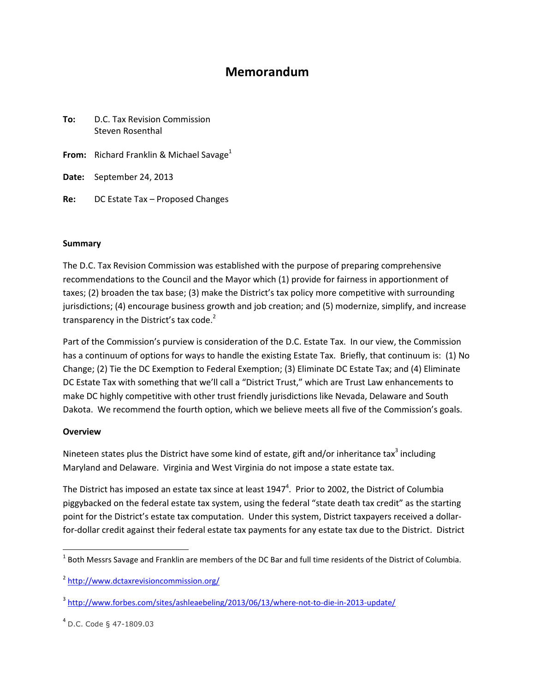# Memorandum

| To: | D.C. Tax Revision Commission<br>Steven Rosenthal     |
|-----|------------------------------------------------------|
|     | From: Richard Franklin & Michael Savage <sup>1</sup> |
|     | <b>Date:</b> September 24, 2013                      |
| Re: | DC Estate Tax - Proposed Changes                     |

#### Summary

The D.C. Tax Revision Commission was established with the purpose of preparing comprehensive recommendations to the Council and the Mayor which (1) provide for fairness in apportionment of taxes; (2) broaden the tax base; (3) make the District's tax policy more competitive with surrounding jurisdictions; (4) encourage business growth and job creation; and (5) modernize, simplify, and increase transparency in the District's tax code. $2$ 

Part of the Commission's purview is consideration of the D.C. Estate Tax. In our view, the Commission has a continuum of options for ways to handle the existing Estate Tax. Briefly, that continuum is: (1) No Change; (2) Tie the DC Exemption to Federal Exemption; (3) Eliminate DC Estate Tax; and (4) Eliminate DC Estate Tax with something that we'll call a "District Trust," which are Trust Law enhancements to make DC highly competitive with other trust friendly jurisdictions like Nevada, Delaware and South Dakota. We recommend the fourth option, which we believe meets all five of the Commission's goals.

# **Overview**

l

Nineteen states plus the District have some kind of estate, gift and/or inheritance tax<sup>3</sup> including Maryland and Delaware. Virginia and West Virginia do not impose a state estate tax.

The District has imposed an estate tax since at least  $1947<sup>4</sup>$ . Prior to 2002, the District of Columbia piggybacked on the federal estate tax system, using the federal "state death tax credit" as the starting point for the District's estate tax computation. Under this system, District taxpayers received a dollarfor-dollar credit against their federal estate tax payments for any estate tax due to the District. District

 $^1$  Both Messrs Savage and Franklin are members of the DC Bar and full time residents of the District of Columbia.

<sup>&</sup>lt;sup>2</sup> http://www.dctaxrevisioncommission.org/

<sup>&</sup>lt;sup>3</sup> http://www.forbes.com/sites/ashleaebeling/2013/06/13/where-not-to-die-in-2013-update/

<sup>4</sup> D.C. Code § 47-1809.03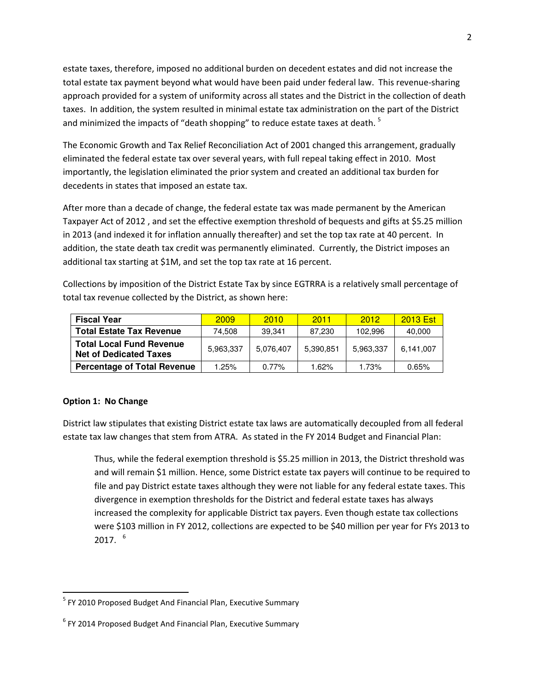estate taxes, therefore, imposed no additional burden on decedent estates and did not increase the total estate tax payment beyond what would have been paid under federal law. This revenue-sharing approach provided for a system of uniformity across all states and the District in the collection of death taxes. In addition, the system resulted in minimal estate tax administration on the part of the District and minimized the impacts of "death shopping" to reduce estate taxes at death.  $^5$ 

The Economic Growth and Tax Relief Reconciliation Act of 2001 changed this arrangement, gradually eliminated the federal estate tax over several years, with full repeal taking effect in 2010. Most importantly, the legislation eliminated the prior system and created an additional tax burden for decedents in states that imposed an estate tax.

After more than a decade of change, the federal estate tax was made permanent by the American Taxpayer Act of 2012 , and set the effective exemption threshold of bequests and gifts at \$5.25 million in 2013 (and indexed it for inflation annually thereafter) and set the top tax rate at 40 percent. In addition, the state death tax credit was permanently eliminated. Currently, the District imposes an additional tax starting at \$1M, and set the top tax rate at 16 percent.

Collections by imposition of the District Estate Tax by since EGTRRA is a relatively small percentage of total tax revenue collected by the District, as shown here:

| <b>Fiscal Year</b>                                               | 2009      | 2010      | 2011      | 2012      | <b>2013 Est</b> |
|------------------------------------------------------------------|-----------|-----------|-----------|-----------|-----------------|
| <b>Total Estate Tax Revenue</b>                                  | 74.508    | 39.341    | 87.230    | 102.996   | 40,000          |
| <b>Total Local Fund Revenue</b><br><b>Net of Dedicated Taxes</b> | 5,963,337 | 5.076.407 | 5,390,851 | 5,963,337 | 6,141,007       |
| <b>Percentage of Total Revenue</b>                               | 1.25%     | $0.77\%$  | 1.62%     | 1.73%     | 0.65%           |

# Option 1: No Change

District law stipulates that existing District estate tax laws are automatically decoupled from all federal estate tax law changes that stem from ATRA. As stated in the FY 2014 Budget and Financial Plan:

Thus, while the federal exemption threshold is \$5.25 million in 2013, the District threshold was and will remain \$1 million. Hence, some District estate tax payers will continue to be required to file and pay District estate taxes although they were not liable for any federal estate taxes. This divergence in exemption thresholds for the District and federal estate taxes has always increased the complexity for applicable District tax payers. Even though estate tax collections were \$103 million in FY 2012, collections are expected to be \$40 million per year for FYs 2013 to  $2017.$ <sup>6</sup>

<sup>&</sup>lt;sup>5</sup> FY 2010 Proposed Budget And Financial Plan, Executive Summary

<sup>&</sup>lt;sup>6</sup> FY 2014 Proposed Budget And Financial Plan, Executive Summary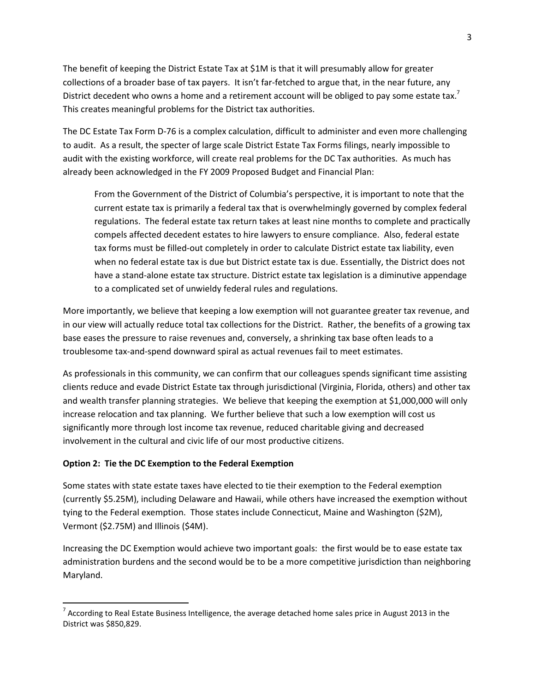The benefit of keeping the District Estate Tax at \$1M is that it will presumably allow for greater collections of a broader base of tax payers. It isn't far-fetched to argue that, in the near future, any District decedent who owns a home and a retirement account will be obliged to pay some estate tax.<sup>7</sup> This creates meaningful problems for the District tax authorities.

The DC Estate Tax Form D-76 is a complex calculation, difficult to administer and even more challenging to audit. As a result, the specter of large scale District Estate Tax Forms filings, nearly impossible to audit with the existing workforce, will create real problems for the DC Tax authorities. As much has already been acknowledged in the FY 2009 Proposed Budget and Financial Plan:

From the Government of the District of Columbia's perspective, it is important to note that the current estate tax is primarily a federal tax that is overwhelmingly governed by complex federal regulations. The federal estate tax return takes at least nine months to complete and practically compels affected decedent estates to hire lawyers to ensure compliance. Also, federal estate tax forms must be filled-out completely in order to calculate District estate tax liability, even when no federal estate tax is due but District estate tax is due. Essentially, the District does not have a stand-alone estate tax structure. District estate tax legislation is a diminutive appendage to a complicated set of unwieldy federal rules and regulations.

More importantly, we believe that keeping a low exemption will not guarantee greater tax revenue, and in our view will actually reduce total tax collections for the District. Rather, the benefits of a growing tax base eases the pressure to raise revenues and, conversely, a shrinking tax base often leads to a troublesome tax-and-spend downward spiral as actual revenues fail to meet estimates.

As professionals in this community, we can confirm that our colleagues spends significant time assisting clients reduce and evade District Estate tax through jurisdictional (Virginia, Florida, others) and other tax and wealth transfer planning strategies. We believe that keeping the exemption at \$1,000,000 will only increase relocation and tax planning. We further believe that such a low exemption will cost us significantly more through lost income tax revenue, reduced charitable giving and decreased involvement in the cultural and civic life of our most productive citizens.

# Option 2: Tie the DC Exemption to the Federal Exemption

l

Some states with state estate taxes have elected to tie their exemption to the Federal exemption (currently \$5.25M), including Delaware and Hawaii, while others have increased the exemption without tying to the Federal exemption. Those states include Connecticut, Maine and Washington (\$2M), Vermont (\$2.75M) and Illinois (\$4M).

Increasing the DC Exemption would achieve two important goals: the first would be to ease estate tax administration burdens and the second would be to be a more competitive jurisdiction than neighboring Maryland.

<sup>&</sup>lt;sup>7</sup> According to Real Estate Business Intelligence, the average detached home sales price in August 2013 in the District was \$850,829.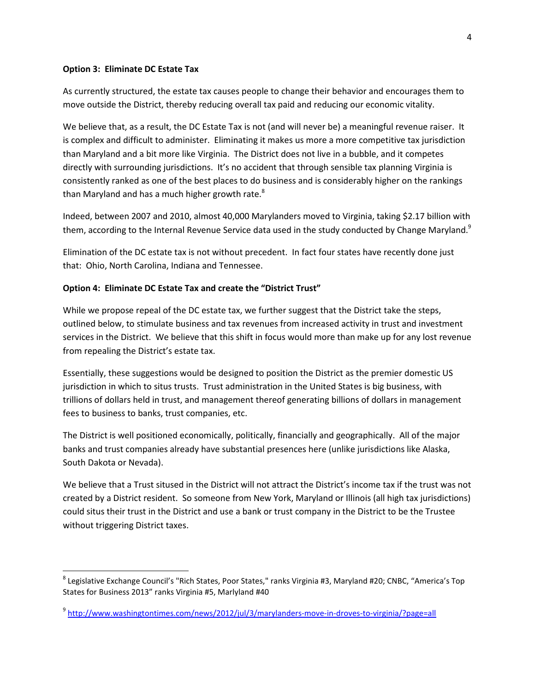#### Option 3: Eliminate DC Estate Tax

l

As currently structured, the estate tax causes people to change their behavior and encourages them to move outside the District, thereby reducing overall tax paid and reducing our economic vitality.

We believe that, as a result, the DC Estate Tax is not (and will never be) a meaningful revenue raiser. It is complex and difficult to administer. Eliminating it makes us more a more competitive tax jurisdiction than Maryland and a bit more like Virginia. The District does not live in a bubble, and it competes directly with surrounding jurisdictions. It's no accident that through sensible tax planning Virginia is consistently ranked as one of the best places to do business and is considerably higher on the rankings than Maryland and has a much higher growth rate. $8<sup>8</sup>$ 

Indeed, between 2007 and 2010, almost 40,000 Marylanders moved to Virginia, taking \$2.17 billion with them, according to the Internal Revenue Service data used in the study conducted by Change Maryland.<sup>9</sup>

Elimination of the DC estate tax is not without precedent. In fact four states have recently done just that: Ohio, North Carolina, Indiana and Tennessee.

# Option 4: Eliminate DC Estate Tax and create the "District Trust"

While we propose repeal of the DC estate tax, we further suggest that the District take the steps, outlined below, to stimulate business and tax revenues from increased activity in trust and investment services in the District. We believe that this shift in focus would more than make up for any lost revenue from repealing the District's estate tax.

Essentially, these suggestions would be designed to position the District as the premier domestic US jurisdiction in which to situs trusts. Trust administration in the United States is big business, with trillions of dollars held in trust, and management thereof generating billions of dollars in management fees to business to banks, trust companies, etc.

The District is well positioned economically, politically, financially and geographically. All of the major banks and trust companies already have substantial presences here (unlike jurisdictions like Alaska, South Dakota or Nevada).

We believe that a Trust sitused in the District will not attract the District's income tax if the trust was not created by a District resident. So someone from New York, Maryland or Illinois (all high tax jurisdictions) could situs their trust in the District and use a bank or trust company in the District to be the Trustee without triggering District taxes.

<sup>&</sup>lt;sup>8</sup> Legislative Exchange Council's "Rich States, Poor States," ranks Virginia #3, Maryland #20; CNBC, "America's Top States for Business 2013" ranks Virginia #5, Marlyland #40

<sup>9</sup> http://www.washingtontimes.com/news/2012/jul/3/marylanders-move-in-droves-to-virginia/?page=all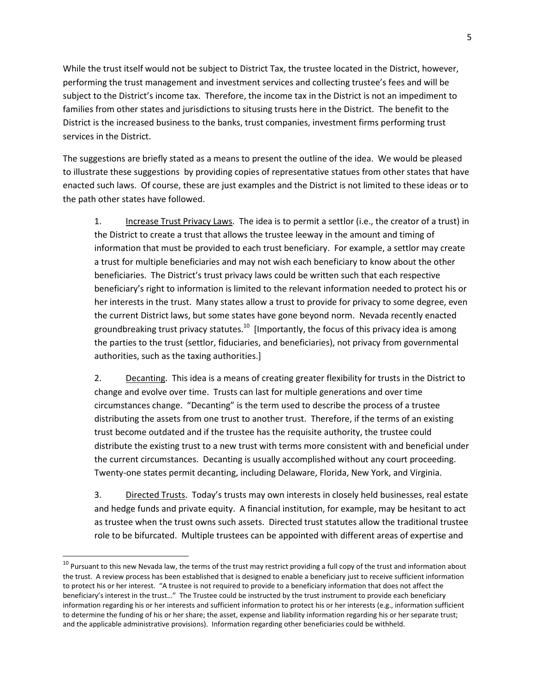While the trust itself would not be subject to District Tax, the trustee located in the District, however, performing the trust management and investment services and collecting trustee's fees and will be subject to the District's income tax. Therefore, the income tax in the District is not an impediment to families from other states and jurisdictions to situsing trusts here in the District. The benefit to the District is the increased business to the banks, trust companies, investment firms performing trust services in the District.

The suggestions are briefly stated as a means to present the outline of the idea. We would be pleased to illustrate these suggestions by providing copies of representative statues from other states that have enacted such laws. Of course, these are just examples and the District is not limited to these ideas or to the path other states have followed.

1. Increase Trust Privacy Laws. The idea is to permit a settlor (i.e., the creator of a trust) in the District to create a trust that allows the trustee leeway in the amount and timing of information that must be provided to each trust beneficiary. For example, a settlor may create a trust for multiple beneficiaries and may not wish each beneficiary to know about the other beneficiaries. The District's trust privacy laws could be written such that each respective beneficiary's right to information is limited to the relevant information needed to protect his or her interests in the trust. Many states allow a trust to provide for privacy to some degree, even the current District laws, but some states have gone beyond norm. Nevada recently enacted groundbreaking trust privacy statutes.<sup>10</sup> [Importantly, the focus of this privacy idea is among the parties to the trust (settlor, fiduciaries, and beneficiaries), not privacy from governmental authorities, such as the taxing authorities.]

2. Decanting. This idea is a means of creating greater flexibility for trusts in the District to change and evolve over time. Trusts can last for multiple generations and over time circumstances change. "Decanting" is the term used to describe the process of a trustee distributing the assets from one trust to another trust. Therefore, if the terms of an existing trust become outdated and if the trustee has the requisite authority, the trustee could distribute the existing trust to a new trust with terms more consistent with and beneficial under the current circumstances. Decanting is usually accomplished without any court proceeding. Twenty-one states permit decanting, including Delaware, Florida, New York, and Virginia.

3. Directed Trusts. Today's trusts may own interests in closely held businesses, real estate and hedge funds and private equity. A financial institution, for example, may be hesitant to act as trustee when the trust owns such assets. Directed trust statutes allow the traditional trustee role to be bifurcated. Multiple trustees can be appointed with different areas of expertise and

l

<sup>&</sup>lt;sup>10</sup> Pursuant to this new Nevada law, the terms of the trust may restrict providing a full copy of the trust and information about the trust. A review process has been established that is designed to enable a beneficiary just to receive sufficient information to protect his or her interest. "A trustee is not required to provide to a beneficiary information that does not affect the beneficiary's interest in the trust…" The Trustee could be instructed by the trust instrument to provide each beneficiary information regarding his or her interests and sufficient information to protect his or her interests (e.g., information sufficient to determine the funding of his or her share; the asset, expense and liability information regarding his or her separate trust; and the applicable administrative provisions). Information regarding other beneficiaries could be withheld.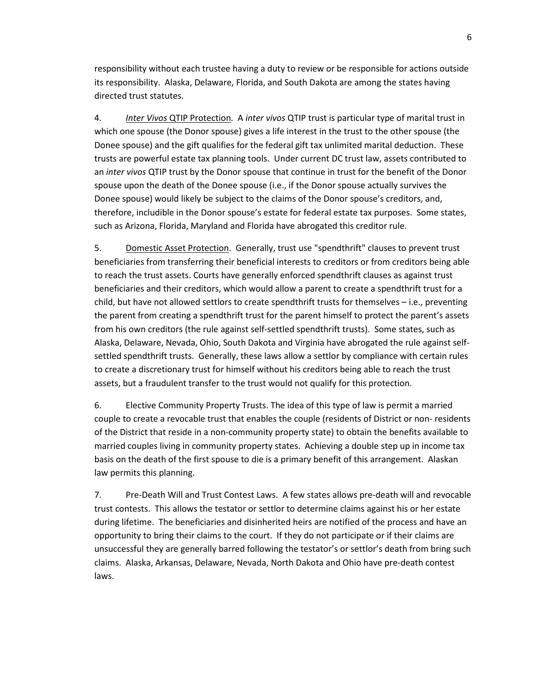responsibility without each trustee having a duty to review or be responsible for actions outside its responsibility. Alaska, Delaware, Florida, and South Dakota are among the states having directed trust statutes.

4. Inter Vivos QTIP Protection. A inter vivos QTIP trust is particular type of marital trust in which one spouse (the Donor spouse) gives a life interest in the trust to the other spouse (the Donee spouse) and the gift qualifies for the federal gift tax unlimited marital deduction. These trusts are powerful estate tax planning tools. Under current DC trust law, assets contributed to an inter vivos QTIP trust by the Donor spouse that continue in trust for the benefit of the Donor spouse upon the death of the Donee spouse (i.e., if the Donor spouse actually survives the Donee spouse) would likely be subject to the claims of the Donor spouse's creditors, and, therefore, includible in the Donor spouse's estate for federal estate tax purposes. Some states, such as Arizona, Florida, Maryland and Florida have abrogated this creditor rule.

5. Domestic Asset Protection. Generally, trust use "spendthrift" clauses to prevent trust beneficiaries from transferring their beneficial interests to creditors or from creditors being able to reach the trust assets. Courts have generally enforced spendthrift clauses as against trust beneficiaries and their creditors, which would allow a parent to create a spendthrift trust for a child, but have not allowed settlors to create spendthrift trusts for themselves – i.e., preventing the parent from creating a spendthrift trust for the parent himself to protect the parent's assets from his own creditors (the rule against self-settled spendthrift trusts). Some states, such as Alaska, Delaware, Nevada, Ohio, South Dakota and Virginia have abrogated the rule against selfsettled spendthrift trusts. Generally, these laws allow a settlor by compliance with certain rules to create a discretionary trust for himself without his creditors being able to reach the trust assets, but a fraudulent transfer to the trust would not qualify for this protection.

6. Elective Community Property Trusts. The idea of this type of law is permit a married couple to create a revocable trust that enables the couple (residents of District or non- residents of the District that reside in a non-community property state) to obtain the benefits available to married couples living in community property states. Achieving a double step up in income tax basis on the death of the first spouse to die is a primary benefit of this arrangement. Alaskan law permits this planning.

7. Pre-Death Will and Trust Contest Laws. A few states allows pre-death will and revocable trust contests. This allows the testator or settlor to determine claims against his or her estate during lifetime. The beneficiaries and disinherited heirs are notified of the process and have an opportunity to bring their claims to the court. If they do not participate or if their claims are unsuccessful they are generally barred following the testator's or settlor's death from bring such claims. Alaska, Arkansas, Delaware, Nevada, North Dakota and Ohio have pre-death contest laws.